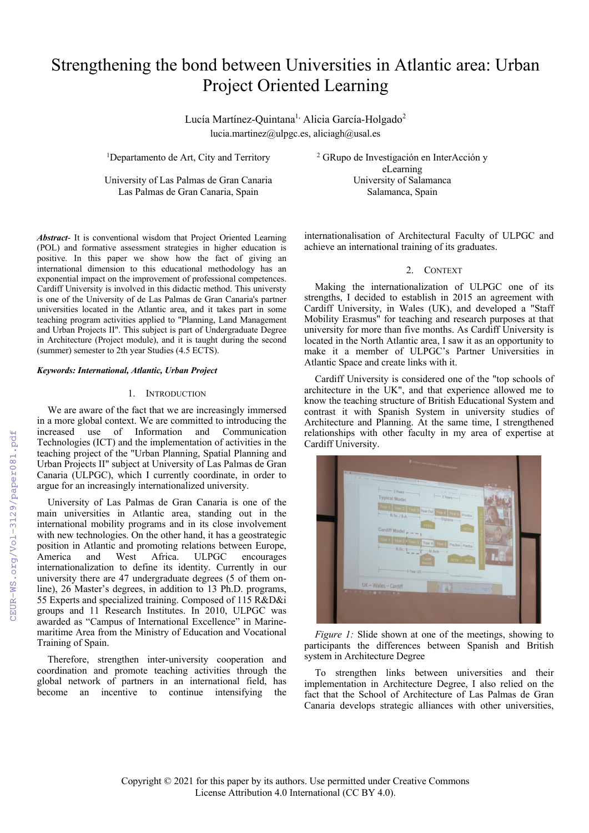# Strengthening the bond between Universities in Atlantic area: Urban Project Oriented Learning

Lucía Martínez-Quintana<sup>1,</sup> Alicia García-Holgado<sup>2</sup> lucia.martinez@ulpgc.es, aliciagh@usal.es

<sup>1</sup>Departamento de Art, City and Territory

Las Palmas de Gran Canaria, Spain Salamanca, Spain

<sup>2</sup> GRupo de Investigación en InterAcción y eLearning University of Las Palmas de Gran Canaria University of Salamanca

*Abstract*- It is conventional wisdom that Project Oriented Learning (POL) and formative assessment strategies in higher education is positive. In this paper we show how the fact of giving an international dimension to this educational methodology has an exponential impact on the improvement of professional competences. Cardiff University is involved in this didactic method. This universty is one of the University of de Las Palmas de Gran Canaria's partner universities located in the Atlantic area, and it takes part in some teaching program activities applied to "Planning, Land Management and Urban Projects II". This subject is part of Undergraduate Degree in Architecture (Project module), and it is taught during the second (summer) semester to 2th year Studies (4.5 ECTS).

## *Keywords: International, Atlantic, Urban Project*

# 1. INTRODUCTION

We are aware of the fact that we are increasingly immersed in a more global context. We are committed to introducing the increased use of Information and Communication Technologies (ICT) and the implementation of activities in the teaching project of the "Urban Planning, Spatial Planning and Urban Projects II" subject at University of Las Palmas de Gran Canaria (ULPGC), which I currently coordinate, in order to argue for an increasingly internationalized university.

University of Las Palmas de Gran Canaria is one of the main universities in Atlantic area, standing out in the international mobility programs and in its close involvement with new technologies. On the other hand, it has a geostrategic position in Atlantic and promoting relations between Europe, and West Africa. ULPGC encourages internationalization to define its identity. Currently in our university there are 47 undergraduate degrees (5 of them online), 26 Master's degrees, in addition to 13 Ph.D. programs, 55 Experts and specialized training. Composed of 115 R&D&i groups and 11 Research Institutes. In 2010, ULPGC was awarded as "Campus of International Excellence" in Marinemaritime Area from the Ministry of Education and Vocational Training of Spain.

Therefore, strengthen inter-university cooperation and coordination and promote teaching activities through the global network of partners in an international field, has become an incentive to continue intensifying the internationalisation of Architectural Faculty of ULPGC and achieve an international training of its graduates.

# 2. CONTEXT

Making the internationalization of ULPGC one of its strengths, I decided to establish in 2015 an agreement with Cardiff University, in Wales (UK), and developed a "Staff Mobility Erasmus" for teaching and research purposes at that university for more than five months. As Cardiff University is located in the North Atlantic area, I saw it as an opportunity to make it a member of ULPGC's Partner Universities in Atlantic Space and create links with it.

Cardiff University is considered one of the "top schools of architecture in the UK", and that experience allowed me to know the teaching structure of British Educational System and contrast it with Spanish System in university studies of Architecture and Planning. At the same time, I strengthened relationships with other faculty in my area of expertise at Cardiff University.



*Figure 1:* Slide shown at one of the meetings, showing to participants the differences between Spanish and British system in Architecture Degree

To strengthen links between universities and their implementation in Architecture Degree, I also relied on the fact that the School of Architecture of Las Palmas de Gran Canaria develops strategic alliances with other universities,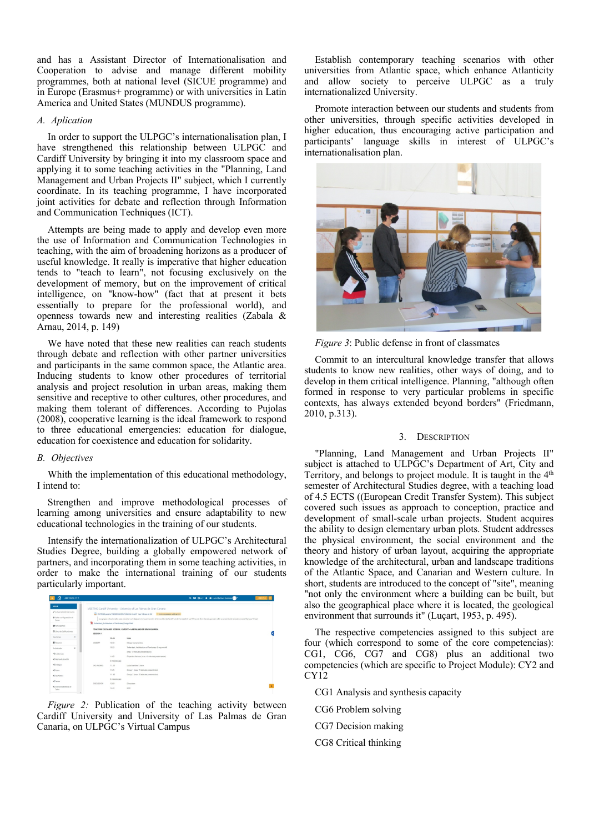and has a Assistant Director of Internationalisation and Cooperation to advise and manage different mobility programmes, both at national level (SICUE programme) and in Europe (Erasmus+ programme) or with universities in Latin America and United States (MUNDUS programme).

# *A. Aplication*

In order to support the ULPGC's internationalisation plan, I have strengthened this relationship between ULPGC and Cardiff University by bringing it into my classroom space and applying it to some teaching activities in the "Planning, Land Management and Urban Projects II" subject, which I currently coordinate. In its teaching programme, I have incorporated joint activities for debate and reflection through Information and Communication Techniques (ICT).

Attempts are being made to apply and develop even more the use of Information and Communication Technologies in teaching, with the aim of broadening horizons as a producer of useful knowledge. It really is imperative that higher education tends to "teach to learn", not focusing exclusively on the development of memory, but on the improvement of critical intelligence, on "know-how" (fact that at present it bets essentially to prepare for the professional world), and openness towards new and interesting realities (Zabala & Arnau, 2014, p. 149)

We have noted that these new realities can reach students through debate and reflection with other partner universities and participants in the same common space, the Atlantic area. Inducing students to know other procedures of territorial analysis and project resolution in urban areas, making them sensitive and receptive to other cultures, other procedures, and making them tolerant of differences. According to Pujolas (2008), cooperative learning is the ideal framework to respond to three educational emergencies: education for dialogue, education for coexistence and education for solidarity.

## *B. Objectives*

Whith the implementation of this educational methodology, I intend to:

Strengthen and improve methodological processes of learning among universities and ensure adaptability to new educational technologies in the training of our students.

Intensify the internationalization of ULPGC's Architectural Studies Degree, building a globally empowered network of partners, and incorporating them in some teaching activities, in order to make the international training of our students particularly important.

| $\Omega$<br>AFP 2020-21 -          |                                                                                                                                                                                                                    |               | Q. MI (Ber - & @ Lick Martinez Quinture)                                                       |  |  |
|------------------------------------|--------------------------------------------------------------------------------------------------------------------------------------------------------------------------------------------------------------------|---------------|------------------------------------------------------------------------------------------------|--|--|
| 43918                              |                                                                                                                                                                                                                    |               | MEETING Cardiff University - University of Las Palmas de Gran Canaria                          |  |  |
| A Activar ediction del curva       |                                                                                                                                                                                                                    |               | ENTREGA para la PRESENTACIÓN PÚBLICA Cardiff - Las Palmas de GC 3 Parms requieren calificación |  |  |
| · Gilter configuración de<br>Cuno. | Los goupons seleccionados para presentar na trabajo en al encuentro antes la Universidad de Cardiff y la Universidad de Las Palmas de Gran Canaria, pueden subir nu presentación en esta tanza del Campus Virtual. |               |                                                                                                |  |  |
| <b>Winnissanne</b>                 | Teherbert, Architecture of Tenitories, Design Brief                                                                                                                                                                |               |                                                                                                |  |  |
| <b>ED Libro de Calificaciones</b>  | SESSION 1                                                                                                                                                                                                          |               | TRACHING EXCHANGE SESSION: CARDIFF - LAS PALMAS DE GRAN CANARIA                                |  |  |
| Sectional                          |                                                                                                                                                                                                                    | 10.45         | <b>Intra</b>                                                                                   |  |  |
| <b>Witerston</b>                   | CARDIFF                                                                                                                                                                                                            | 10.50         | Marga Munac's intro                                                                            |  |  |
| ٠<br>Actividades                   |                                                                                                                                                                                                                    | 10.53         | Treberbert, Anthibecture of Tembories, Group world-                                            |  |  |
| <br>distancias                     |                                                                                                                                                                                                                    |               | Imax, 12 minutes presentation)                                                                 |  |  |
|                                    |                                                                                                                                                                                                                    | 11.05         | Privansha Kamdar (max, 10 minutes presentation)                                                |  |  |
| <br><b>Kingdiverburner</b>         |                                                                                                                                                                                                                    | S minutes gap |                                                                                                |  |  |
| 4000005                            | LAS RAIMAS                                                                                                                                                                                                         | 11, 20        | Lucia Martinez's inter-                                                                        |  |  |
| <b>ALF</b> Forms                   |                                                                                                                                                                                                                    | 11.25         | Group 1 (max. 15 minutes presentation)                                                         |  |  |
| <br>distriction                    |                                                                                                                                                                                                                    | 11.40         | Group 2 lmax, 15 minutes presentation)                                                         |  |  |
| $\leq$ larger                      |                                                                                                                                                                                                                    | 5 minutes gap |                                                                                                |  |  |
|                                    | DISCUSSION                                                                                                                                                                                                         | 12:00         | Discussion                                                                                     |  |  |
| <br>Videoconferencias e-<br>Tuter  |                                                                                                                                                                                                                    | 12.33         | <b>DUD</b>                                                                                     |  |  |

*Figure 2:* Publication of the teaching activity between Cardiff University and University of Las Palmas de Gran Canaria, on ULPGC's Virtual Campus

Establish contemporary teaching scenarios with other universities from Atlantic space, which enhance Atlanticity and allow society to perceive ULPGC as a truly internationalized University.

Promote interaction between our students and students from other universities, through specific activities developed in higher education, thus encouraging active participation and participants' language skills in interest of ULPGC's internationalisation plan.



*Figure 3*: Public defense in front of classmates

Commit to an intercultural knowledge transfer that allows students to know new realities, other ways of doing, and to develop in them critical intelligence. Planning, "although often formed in response to very particular problems in specific contexts, has always extended beyond borders" (Friedmann, 2010, p.313).

## 3. DESCRIPTION

"Planning, Land Management and Urban Projects II" subject is attached to ULPGC's Department of Art, City and Territory, and belongs to project module. It is taught in the 4<sup>th</sup> semester of Architectural Studies degree, with a teaching load of 4.5 ECTS ((European Credit Transfer System). This subject covered such issues as approach to conception, practice and development of small-scale urban projects. Student acquires the ability to design elementary urban plots. Student addresses the physical environment, the social environment and the theory and history of urban layout, acquiring the appropriate knowledge of the architectural, urban and landscape traditions of the Atlantic Space, and Canarian and Western culture. In short, students are introduced to the concept of "site", meaning "not only the environment where a building can be built, but also the geographical place where it is located, the geological environment that surrounds it" (Luçart, 1953, p. 495).

The respective competencies assigned to this subject are four (which correspond to some of the core competencias): CG1, CG6, CG7 and CG8) plus an additional two competencies (which are specific to Project Module): CY2 and CY12

- CG1 Analysis and synthesis capacity
- CG6 Problem solving
- CG7 Decision making
- CG8 Critical thinking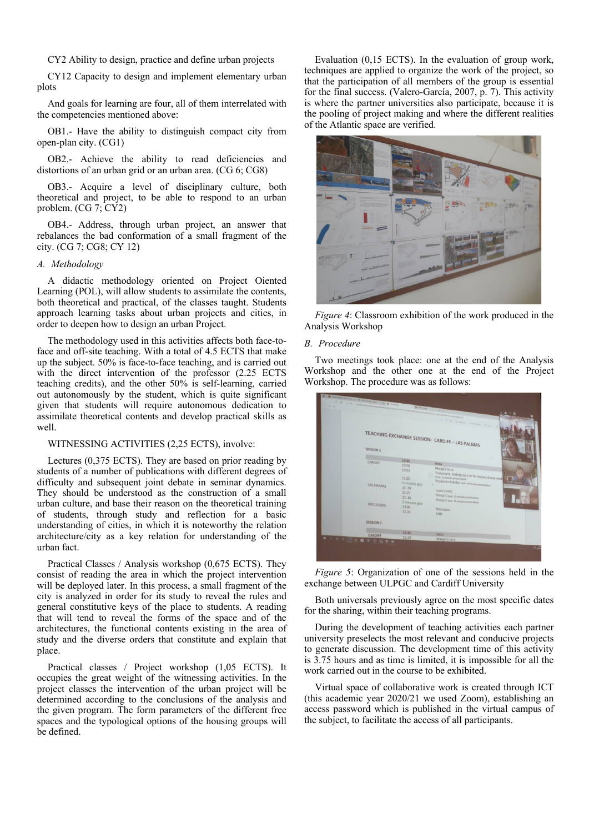CY2 Ability to design, practice and define urban projects

CY12 Capacity to design and implement elementary urban plots

And goals for learning are four, all of them interrelated with the competencies mentioned above:

OB1.- Have the ability to distinguish compact city from open-plan city. (CG1)

OB2.- Achieve the ability to read deficiencies and distortions of an urban grid or an urban area. (CG 6; CG8)

OB3.- Acquire a level of disciplinary culture, both theoretical and project, to be able to respond to an urban problem. (CG 7; CY2)

OB4.- Address, through urban project, an answer that rebalances the bad conformation of a small fragment of the city. (CG 7; CG8; CY 12)

# *A. Methodology*

A didactic methodology oriented on Project Oiented Learning (POL), will allow students to assimilate the contents, both theoretical and practical, of the classes taught. Students approach learning tasks about urban projects and cities, in order to deepen how to design an urban Project.

The methodology used in this activities affects both face-toface and off-site teaching. With a total of 4.5 ECTS that make up the subject. 50% is face-to-face teaching, and is carried out with the direct intervention of the professor (2.25 ECTS teaching credits), and the other 50% is self-learning, carried out autonomously by the student, which is quite significant given that students will require autonomous dedication to assimilate theoretical contents and develop practical skills as well.

# WITNESSING ACTIVITIES (2,25 ECTS), involve:

Lectures (0,375 ECTS). They are based on prior reading by students of a number of publications with different degrees of difficulty and subsequent joint debate in seminar dynamics. They should be understood as the construction of a small urban culture, and base their reason on the theoretical training of students, through study and reflection for a basic understanding of cities, in which it is noteworthy the relation architecture/city as a key relation for understanding of the urban fact.

Practical Classes / Analysis workshop (0,675 ECTS). They consist of reading the area in which the project intervention will be deployed later. In this process, a small fragment of the city is analyzed in order for its study to reveal the rules and general constitutive keys of the place to students. A reading that will tend to reveal the forms of the space and of the architectures, the functional contents existing in the area of study and the diverse orders that constitute and explain that place.

Practical classes / Project workshop (1,05 ECTS). It occupies the great weight of the witnessing activities. In the project classes the intervention of the urban project will be determined according to the conclusions of the analysis and the given program. The form parameters of the different free spaces and the typological options of the housing groups will be defined.

Evaluation (0,15 ECTS). In the evaluation of group work, techniques are applied to organize the work of the project, so that the participation of all members of the group is essential for the final success. (Valero-García, 2007, p. 7). This activity is where the partner universities also participate, because it is the pooling of project making and where the different realities of the Atlantic space are verified.



*Figure 4*: Classroom exhibition of the work produced in the Analysis Workshop

#### *B. Procedure*

Two meetings took place: one at the end of the Analysis Workshop and the other one at the end of the Project Workshop. The procedure was as follows:

|        | SESSION 1                        |                                                   | $\left 0\right\rangle$ $\left 0\right\rangle$ $\left 0\right\rangle$ . Construction of the state of the construction of the construction of the construction of the construction of the construction of the construction of the construction of the construction<br>$\cdots \;\; + \;\; \bigcirc \;\; \Omega \; : \; \bigcirc \; \mathrm{type} \; : \;\; \mathcal{C} \;\; \mathrm{before} \; : \; \forall \;\; \mathrm{free} \;\; .$<br>M.<br>TEACHING EXCHANGE SESSION: CARDIFF - LAS PALMAS |
|--------|----------------------------------|---------------------------------------------------|-----------------------------------------------------------------------------------------------------------------------------------------------------------------------------------------------------------------------------------------------------------------------------------------------------------------------------------------------------------------------------------------------------------------------------------------------------------------------------------------------|
|        | CARDIFF                          | 10.45<br>10.50<br>10.53                           | <b>CON MUNICIPAL</b><br>Intro<br>Marga's intro<br>Treherbert, Architecture of Territories, Group work                                                                                                                                                                                                                                                                                                                                                                                         |
|        | <b>LAS PALMAS</b>                | 11.05<br>5 minutes gap<br>11.20<br>11.25<br>11.40 | (max. 12 minutes presentation)<br>Priyansha Kamdar (max. 10 minutes presentation)<br>ъ<br>Lucia's intro<br>Group 1 (max. 15 minutes presentation)<br>Group 2 (max. 15 minutes presentation)                                                                                                                                                                                                                                                                                                   |
|        | <b>DISCUSSION</b>                | 5 minutes gap<br>12.00<br>12.20                   | <b>Discussion</b><br>END.                                                                                                                                                                                                                                                                                                                                                                                                                                                                     |
|        | <b>SESSION 2</b>                 |                                                   |                                                                                                                                                                                                                                                                                                                                                                                                                                                                                               |
| $\sim$ | CARDIFF<br><b>B G G O W</b><br>۰ | 12.45<br>12.50                                    | Intro<br>Marga's intro                                                                                                                                                                                                                                                                                                                                                                                                                                                                        |

*Figure 5*: Organization of one of the sessions held in the exchange between ULPGC and Cardiff University

Both universals previously agree on the most specific dates for the sharing, within their teaching programs.

During the development of teaching activities each partner university preselects the most relevant and conducive projects to generate discussion. The development time of this activity is 3.75 hours and as time is limited, it is impossible for all the work carried out in the course to be exhibited.

Virtual space of collaborative work is created through ICT (this academic year 2020/21 we used Zoom), establishing an access password which is published in the virtual campus of the subject, to facilitate the access of all participants.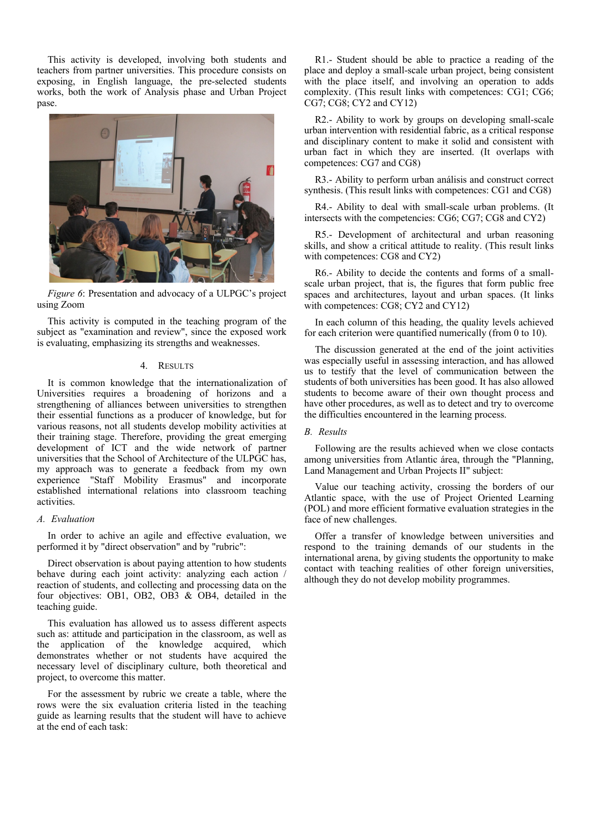This activity is developed, involving both students and teachers from partner universities. This procedure consists on exposing, in English language, the pre-selected students works, both the work of Analysis phase and Urban Project pase.



*Figure 6*: Presentation and advocacy of a ULPGC's project using Zoom

This activity is computed in the teaching program of the subject as "examination and review", since the exposed work is evaluating, emphasizing its strengths and weaknesses.

# 4. RESULTS

It is common knowledge that the internationalization of Universities requires a broadening of horizons and a strengthening of alliances between universities to strengthen their essential functions as a producer of knowledge, but for various reasons, not all students develop mobility activities at their training stage. Therefore, providing the great emerging development of ICT and the wide network of partner universities that the School of Architecture of the ULPGC has, my approach was to generate a feedback from my own experience "Staff Mobility Erasmus" and incorporate established international relations into classroom teaching activities.

# *A. Evaluation*

In order to achive an agile and effective evaluation, we performed it by "direct observation" and by "rubric":

Direct observation is about paying attention to how students behave during each joint activity: analyzing each action / reaction of students, and collecting and processing data on the four objectives: OB1, OB2, OB3 & OB4, detailed in the teaching guide.

This evaluation has allowed us to assess different aspects such as: attitude and participation in the classroom, as well as the application of the knowledge acquired, which demonstrates whether or not students have acquired the necessary level of disciplinary culture, both theoretical and project, to overcome this matter.

For the assessment by rubric we create a table, where the rows were the six evaluation criteria listed in the teaching guide as learning results that the student will have to achieve at the end of each task:

R1.- Student should be able to practice a reading of the place and deploy a small-scale urban project, being consistent with the place itself, and involving an operation to adds complexity. (This result links with competences: CG1; CG6; CG7; CG8; CY2 and CY12)

R2.- Ability to work by groups on developing small-scale urban intervention with residential fabric, as a critical response and disciplinary content to make it solid and consistent with urban fact in which they are inserted. (It overlaps with competences: CG7 and CG8)

R3.- Ability to perform urban análisis and construct correct synthesis. (This result links with competences: CG1 and CG8)

R4.- Ability to deal with small-scale urban problems. (It intersects with the competencies: CG6; CG7; CG8 and CY2)

R5.- Development of architectural and urban reasoning skills, and show a critical attitude to reality. (This result links with competences: CG8 and CY2)

R6.- Ability to decide the contents and forms of a smallscale urban project, that is, the figures that form public free spaces and architectures, layout and urban spaces. (It links with competences: CG8; CY2 and CY12)

In each column of this heading, the quality levels achieved for each criterion were quantified numerically (from 0 to 10).

The discussion generated at the end of the joint activities was especially useful in assessing interaction, and has allowed us to testify that the level of communication between the students of both universities has been good. It has also allowed students to become aware of their own thought process and have other procedures, as well as to detect and try to overcome the difficulties encountered in the learning process.

## *B. Results*

Following are the results achieved when we close contacts among universities from Atlantic área, through the "Planning, Land Management and Urban Projects II" subject:

Value our teaching activity, crossing the borders of our Atlantic space, with the use of Project Oriented Learning (POL) and more efficient formative evaluation strategies in the face of new challenges.

Offer a transfer of knowledge between universities and respond to the training demands of our students in the international arena, by giving students the opportunity to make contact with teaching realities of other foreign universities, although they do not develop mobility programmes.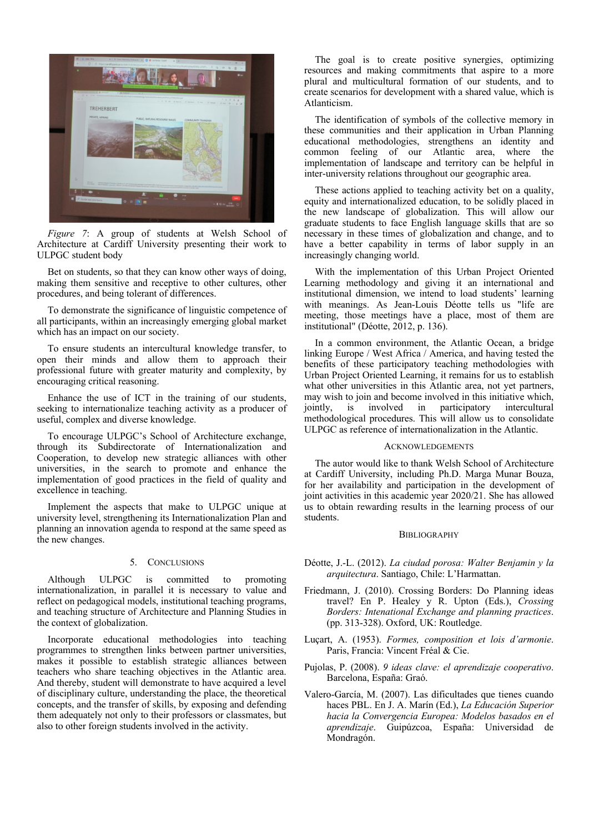

*Figure 7*: A group of students at Welsh School of Architecture at Cardiff University presenting their work to ULPGC student body

Bet on students, so that they can know other ways of doing, making them sensitive and receptive to other cultures, other procedures, and being tolerant of differences.

To demonstrate the significance of linguistic competence of all participants, within an increasingly emerging global market which has an impact on our society.

To ensure students an intercultural knowledge transfer, to open their minds and allow them to approach their professional future with greater maturity and complexity, by encouraging critical reasoning.

Enhance the use of ICT in the training of our students, seeking to internationalize teaching activity as a producer of useful, complex and diverse knowledge.

To encourage ULPGC's School of Architecture exchange, through its Subdirectorate of Internationalization and Cooperation, to develop new strategic alliances with other universities, in the search to promote and enhance the implementation of good practices in the field of quality and excellence in teaching.

Implement the aspects that make to ULPGC unique at university level, strengthening its Internationalization Plan and planning an innovation agenda to respond at the same speed as the new changes.

# 5. CONCLUSIONS

Although ULPGC is committed to promoting internationalization, in parallel it is necessary to value and reflect on pedagogical models, institutional teaching programs, and teaching structure of Architecture and Planning Studies in the context of globalization.

Incorporate educational methodologies into teaching programmes to strengthen links between partner universities, makes it possible to establish strategic alliances between teachers who share teaching objectives in the Atlantic area. And thereby, student will demonstrate to have acquired a level of disciplinary culture, understanding the place, the theoretical concepts, and the transfer of skills, by exposing and defending them adequately not only to their professors or classmates, but also to other foreign students involved in the activity.

The goal is to create positive synergies, optimizing resources and making commitments that aspire to a more plural and multicultural formation of our students, and to create scenarios for development with a shared value, which is Atlanticism.

The identification of symbols of the collective memory in these communities and their application in Urban Planning educational methodologies, strengthens an identity and common feeling of our Atlantic area, where the implementation of landscape and territory can be helpful in inter-university relations throughout our geographic area.

These actions applied to teaching activity bet on a quality, equity and internationalized education, to be solidly placed in the new landscape of globalization. This will allow our graduate students to face English language skills that are so necessary in these times of globalization and change, and to have a better capability in terms of labor supply in an increasingly changing world.

With the implementation of this Urban Project Oriented Learning methodology and giving it an international and institutional dimension, we intend to load students' learning with meanings. As Jean-Louis Déotte tells us "life are meeting, those meetings have a place, most of them are institutional" (Déotte, 2012, p. 136).

In a common environment, the Atlantic Ocean, a bridge linking Europe / West Africa / America, and having tested the benefits of these participatory teaching methodologies with Urban Project Oriented Learning, it remains for us to establish what other universities in this Atlantic area, not yet partners, may wish to join and become involved in this initiative which, jointly, is involved in participatory intercultural involved in participatory intercultural methodological procedures. This will allow us to consolidate ULPGC as reference of internationalization in the Atlantic.

#### **ACKNOWLEDGEMENTS**

The autor would like to thank Welsh School of Architecture at Cardiff University, including Ph.D. Marga Munar Bouza, for her availability and participation in the development of joint activities in this academic year 2020/21. She has allowed us to obtain rewarding results in the learning process of our students.

## **BIBLIOGRAPHY**

- Déotte, J.-L. (2012). *La ciudad porosa: Walter Benjamin y la arquitectura*. Santiago, Chile: L'Harmattan.
- Friedmann, J. (2010). Crossing Borders: Do Planning ideas travel? En P. Healey y R. Upton (Eds.), *Crossing Borders: Intenational Exchange and planning practices*. (pp. 313-328). Oxford, UK: Routledge.
- Luçart, A. (1953). *Formes, composition et lois d'armonie*. Paris, Francia: Vincent Fréal & Cie.
- Pujolas, P. (2008). *9 ideas clave: el aprendizaje cooperativo*. Barcelona, España: Graó.
- Valero-García, M. (2007). Las dificultades que tienes cuando haces PBL. En J. A. Marín (Ed.), *La Educación Superior hacia la Convergencia Europea: Modelos basados en el aprendizaje*. Guipúzcoa, España: Universidad de Mondragón.